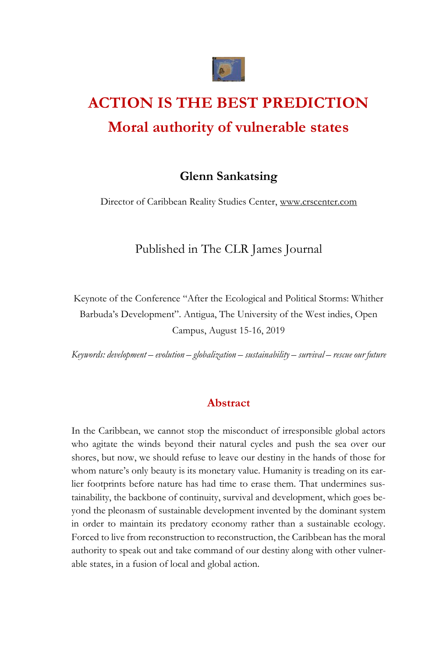

# **ACTION IS THE BEST PREDICTION Moral authority of vulnerable states**

# **Glenn Sankatsing**

Director of Caribbean Reality Studies Center[, www.crscenter.com](http://www.crscenter.com/) 

Published in The CLR James Journal

Keynote of the Conference "After the Ecological and Political Storms: Whither Barbuda's Development". Antigua, The University of the West indies, Open Campus, August 15-16, 2019

*Keywords: development – evolution – globalization – sustainability – survival – rescue our future*

### **Abstract**

In the Caribbean, we cannot stop the misconduct of irresponsible global actors who agitate the winds beyond their natural cycles and push the sea over our shores, but now, we should refuse to leave our destiny in the hands of those for whom nature's only beauty is its monetary value. Humanity is treading on its earlier footprints before nature has had time to erase them. That undermines sustainability, the backbone of continuity, survival and development, which goes beyond the pleonasm of sustainable development invented by the dominant system in order to maintain its predatory economy rather than a sustainable ecology. Forced to live from reconstruction to reconstruction, the Caribbean has the moral authority to speak out and take command of our destiny along with other vulnerable states, in a fusion of local and global action.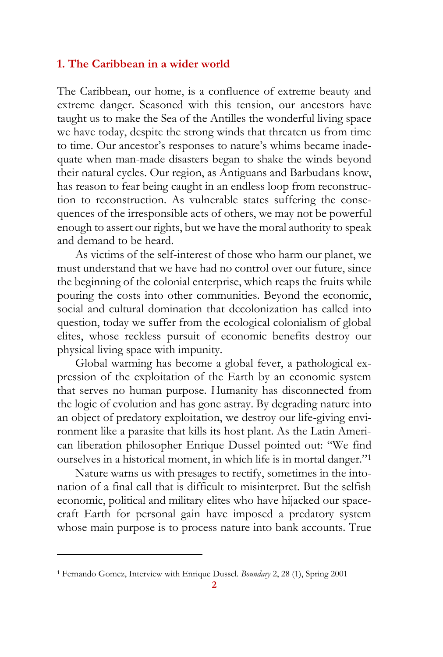## **1. The Caribbean in a wider world**

The Caribbean, our home, is a confluence of extreme beauty and extreme danger. Seasoned with this tension, our ancestors have taught us to make the Sea of the Antilles the wonderful living space we have today, despite the strong winds that threaten us from time to time. Our ancestor's responses to nature's whims became inadequate when man-made disasters began to shake the winds beyond their natural cycles. Our region, as Antiguans and Barbudans know, has reason to fear being caught in an endless loop from reconstruction to reconstruction. As vulnerable states suffering the consequences of the irresponsible acts of others, we may not be powerful enough to assert our rights, but we have the moral authority to speak and demand to be heard.

As victims of the self-interest of those who harm our planet, we must understand that we have had no control over our future, since the beginning of the colonial enterprise, which reaps the fruits while pouring the costs into other communities. Beyond the economic, social and cultural domination that decolonization has called into question, today we suffer from the ecological colonialism of global elites, whose reckless pursuit of economic benefits destroy our physical living space with impunity.

Global warming has become a global fever, a pathological expression of the exploitation of the Earth by an economic system that serves no human purpose. Humanity has disconnected from the logic of evolution and has gone astray. By degrading nature into an object of predatory exploitation, we destroy our life-giving environment like a parasite that kills its host plant. As the Latin American liberation philosopher Enrique Dussel pointed out: "We find ourselves in a historical moment, in which life is in mortal danger."<sup>1</sup>

Nature warns us with presages to rectify, sometimes in the intonation of a final call that is difficult to misinterpret. But the selfish economic, political and military elites who have hijacked our spacecraft Earth for personal gain have imposed a predatory system whose main purpose is to process nature into bank accounts. True

<sup>1</sup> Fernando Gomez, Interview with Enrique Dussel. *Boundary* 2, 28 (1), Spring 2001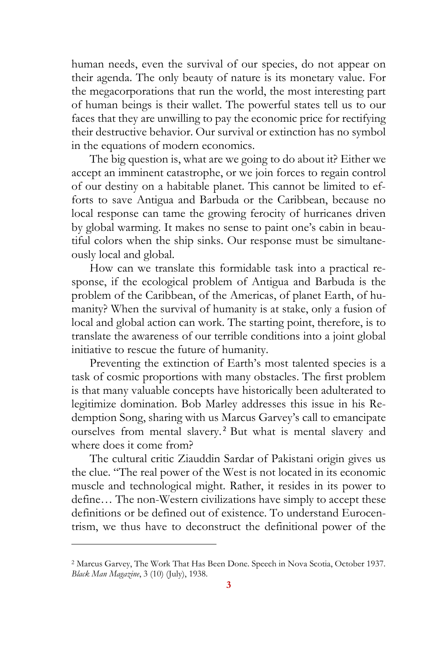human needs, even the survival of our species, do not appear on their agenda. The only beauty of nature is its monetary value. For the megacorporations that run the world, the most interesting part of human beings is their wallet. The powerful states tell us to our faces that they are unwilling to pay the economic price for rectifying their destructive behavior. Our survival or extinction has no symbol in the equations of modern economics.

The big question is, what are we going to do about it? Either we accept an imminent catastrophe, or we join forces to regain control of our destiny on a habitable planet. This cannot be limited to efforts to save Antigua and Barbuda or the Caribbean, because no local response can tame the growing ferocity of hurricanes driven by global warming. It makes no sense to paint one's cabin in beautiful colors when the ship sinks. Our response must be simultaneously local and global.

How can we translate this formidable task into a practical response, if the ecological problem of Antigua and Barbuda is the problem of the Caribbean, of the Americas, of planet Earth, of humanity? When the survival of humanity is at stake, only a fusion of local and global action can work. The starting point, therefore, is to translate the awareness of our terrible conditions into a joint global initiative to rescue the future of humanity.

Preventing the extinction of Earth's most talented species is a task of cosmic proportions with many obstacles. The first problem is that many valuable concepts have historically been adulterated to legitimize domination. Bob Marley addresses this issue in his Redemption Song, sharing with us Marcus Garvey's call to emancipate ourselves from mental slavery. <sup>2</sup> But what is mental slavery and where does it come from?

The cultural critic Ziauddin Sardar of Pakistani origin gives us the clue. "The real power of the West is not located in its economic muscle and technological might. Rather, it resides in its power to define… The non-Western civilizations have simply to accept these definitions or be defined out of existence. To understand Eurocentrism, we thus have to deconstruct the definitional power of the

<sup>2</sup> Marcus Garvey, The Work That Has Been Done. Speech in Nova Scotia, October 1937. *Black Man Magazine*, 3 (10) (July), 1938.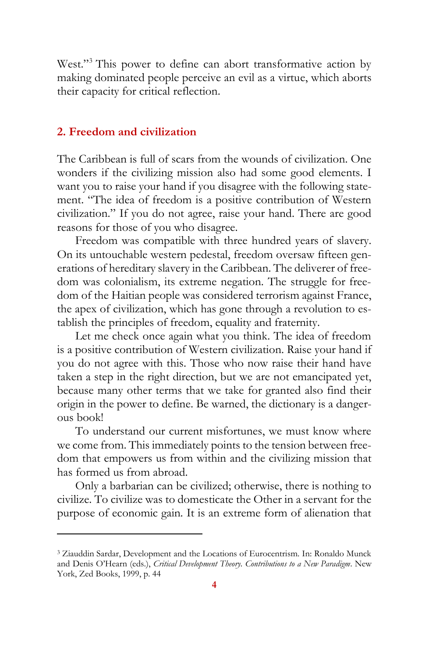West."<sup>3</sup> This power to define can abort transformative action by making dominated people perceive an evil as a virtue, which aborts their capacity for critical reflection.

### **2. Freedom and civilization**

The Caribbean is full of scars from the wounds of civilization. One wonders if the civilizing mission also had some good elements. I want you to raise your hand if you disagree with the following statement. "The idea of freedom is a positive contribution of Western civilization." If you do not agree, raise your hand. There are good reasons for those of you who disagree.

Freedom was compatible with three hundred years of slavery. On its untouchable western pedestal, freedom oversaw fifteen generations of hereditary slavery in the Caribbean. The deliverer of freedom was colonialism, its extreme negation. The struggle for freedom of the Haitian people was considered terrorism against France, the apex of civilization, which has gone through a revolution to establish the principles of freedom, equality and fraternity.

Let me check once again what you think. The idea of freedom is a positive contribution of Western civilization. Raise your hand if you do not agree with this. Those who now raise their hand have taken a step in the right direction, but we are not emancipated yet, because many other terms that we take for granted also find their origin in the power to define. Be warned, the dictionary is a dangerous book!

To understand our current misfortunes, we must know where we come from. This immediately points to the tension between freedom that empowers us from within and the civilizing mission that has formed us from abroad.

Only a barbarian can be civilized; otherwise, there is nothing to civilize. To civilize was to domesticate the Other in a servant for the purpose of economic gain. It is an extreme form of alienation that

<sup>3</sup> Ziauddin Sardar, Development and the Locations of Eurocentrism. In: Ronaldo Munck and Denis O'Hearn (eds.), *Critical Development Theory. Contributions to a New Paradigm*. New York, Zed Books, 1999, p. 44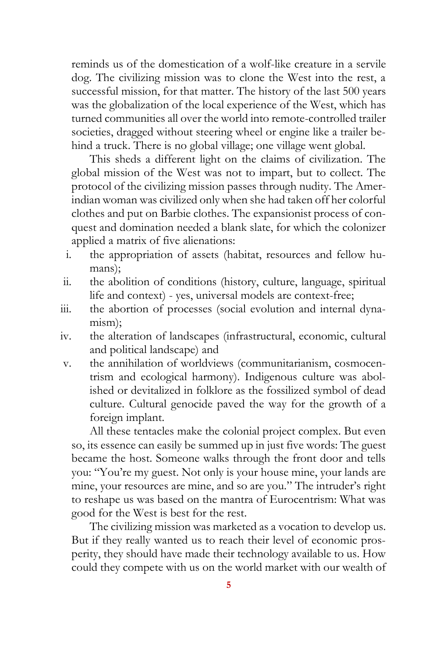reminds us of the domestication of a wolf-like creature in a servile dog. The civilizing mission was to clone the West into the rest, a successful mission, for that matter. The history of the last 500 years was the globalization of the local experience of the West, which has turned communities all over the world into remote-controlled trailer societies, dragged without steering wheel or engine like a trailer behind a truck. There is no global village; one village went global.

This sheds a different light on the claims of civilization. The global mission of the West was not to impart, but to collect. The protocol of the civilizing mission passes through nudity. The Amerindian woman was civilized only when she had taken off her colorful clothes and put on Barbie clothes. The expansionist process of conquest and domination needed a blank slate, for which the colonizer applied a matrix of five alienations:

- i. the appropriation of assets (habitat, resources and fellow humans);
- ii. the abolition of conditions (history, culture, language, spiritual life and context) - yes, universal models are context-free;
- iii. the abortion of processes (social evolution and internal dynamism);
- iv. the alteration of landscapes (infrastructural, economic, cultural and political landscape) and
- v. the annihilation of worldviews (communitarianism, cosmocentrism and ecological harmony). Indigenous culture was abolished or devitalized in folklore as the fossilized symbol of dead culture. Cultural genocide paved the way for the growth of a foreign implant.

All these tentacles make the colonial project complex. But even so, its essence can easily be summed up in just five words: The guest became the host. Someone walks through the front door and tells you: "You're my guest. Not only is your house mine, your lands are mine, your resources are mine, and so are you." The intruder's right to reshape us was based on the mantra of Eurocentrism: What was good for the West is best for the rest.

The civilizing mission was marketed as a vocation to develop us. But if they really wanted us to reach their level of economic prosperity, they should have made their technology available to us. How could they compete with us on the world market with our wealth of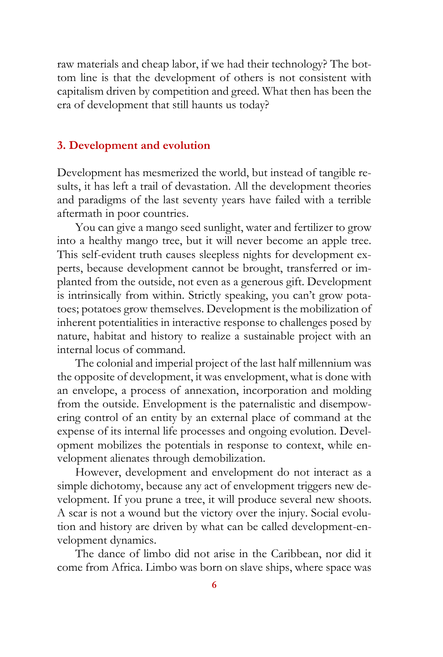raw materials and cheap labor, if we had their technology? The bottom line is that the development of others is not consistent with capitalism driven by competition and greed. What then has been the era of development that still haunts us today?

#### **3. Development and evolution**

Development has mesmerized the world, but instead of tangible results, it has left a trail of devastation. All the development theories and paradigms of the last seventy years have failed with a terrible aftermath in poor countries.

You can give a mango seed sunlight, water and fertilizer to grow into a healthy mango tree, but it will never become an apple tree. This self-evident truth causes sleepless nights for development experts, because development cannot be brought, transferred or implanted from the outside, not even as a generous gift. Development is intrinsically from within. Strictly speaking, you can't grow potatoes; potatoes grow themselves. Development is the mobilization of inherent potentialities in interactive response to challenges posed by nature, habitat and history to realize a sustainable project with an internal locus of command.

The colonial and imperial project of the last half millennium was the opposite of development, it was envelopment, what is done with an envelope, a process of annexation, incorporation and molding from the outside. Envelopment is the paternalistic and disempowering control of an entity by an external place of command at the expense of its internal life processes and ongoing evolution. Development mobilizes the potentials in response to context, while envelopment alienates through demobilization.

However, development and envelopment do not interact as a simple dichotomy, because any act of envelopment triggers new development. If you prune a tree, it will produce several new shoots. A scar is not a wound but the victory over the injury. Social evolution and history are driven by what can be called development-envelopment dynamics.

The dance of limbo did not arise in the Caribbean, nor did it come from Africa. Limbo was born on slave ships, where space was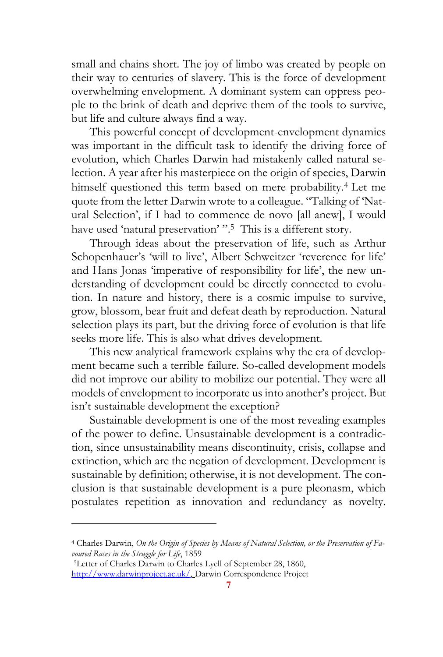small and chains short. The joy of limbo was created by people on their way to centuries of slavery. This is the force of development overwhelming envelopment. A dominant system can oppress people to the brink of death and deprive them of the tools to survive, but life and culture always find a way.

This powerful concept of development-envelopment dynamics was important in the difficult task to identify the driving force of evolution, which Charles Darwin had mistakenly called natural selection. A year after his masterpiece on the origin of species, Darwin himself questioned this term based on mere probability.<sup>4</sup> Let me quote from the letter Darwin wrote to a colleague. "Talking of 'Natural Selection', if I had to commence de novo [all anew], I would have used 'natural preservation' ". 5 This is a different story.

Through ideas about the preservation of life, such as Arthur Schopenhauer's 'will to live', Albert Schweitzer 'reverence for life' and Hans Jonas 'imperative of responsibility for life', the new understanding of development could be directly connected to evolution. In nature and history, there is a cosmic impulse to survive, grow, blossom, bear fruit and defeat death by reproduction. Natural selection plays its part, but the driving force of evolution is that life seeks more life. This is also what drives development.

This new analytical framework explains why the era of development became such a terrible failure. So-called development models did not improve our ability to mobilize our potential. They were all models of envelopment to incorporate us into another's project. But isn't sustainable development the exception?

Sustainable development is one of the most revealing examples of the power to define. Unsustainable development is a contradiction, since unsustainability means discontinuity, crisis, collapse and extinction, which are the negation of development. Development is sustainable by definition; otherwise, it is not development. The conclusion is that sustainable development is a pure pleonasm, which postulates repetition as innovation and redundancy as novelty.

<sup>4</sup> Charles Darwin, *On the Origin of Species by Means of Natural Selection, or the Preservation of Favoured Races in the Struggle for Life*, 1859

<sup>5</sup>Letter of Charles Darwin to Charles Lyell of September 28, 1860, [http://www.darwinproject.ac.uk/,](http://www.darwinproject.ac.uk/) Darwin Correspondence Project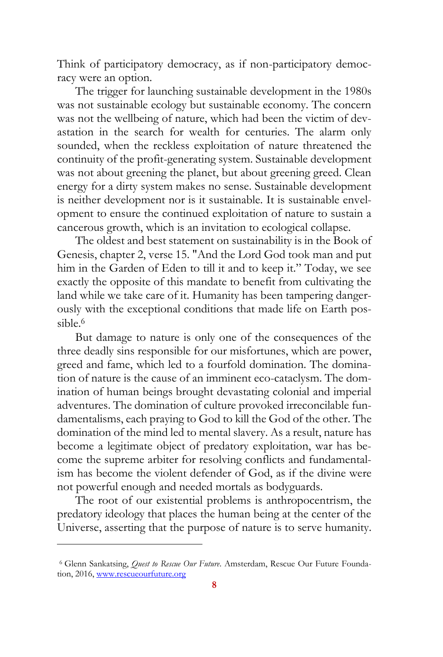Think of participatory democracy, as if non-participatory democracy were an option.

The trigger for launching sustainable development in the 1980s was not sustainable ecology but sustainable economy. The concern was not the wellbeing of nature, which had been the victim of devastation in the search for wealth for centuries. The alarm only sounded, when the reckless exploitation of nature threatened the continuity of the profit-generating system. Sustainable development was not about greening the planet, but about greening greed. Clean energy for a dirty system makes no sense. Sustainable development is neither development nor is it sustainable. It is sustainable envelopment to ensure the continued exploitation of nature to sustain a cancerous growth, which is an invitation to ecological collapse.

The oldest and best statement on sustainability is in the Book of Genesis, chapter 2, verse 15. "And the Lord God took man and put him in the Garden of Eden to till it and to keep it." Today, we see exactly the opposite of this mandate to benefit from cultivating the land while we take care of it. Humanity has been tampering dangerously with the exceptional conditions that made life on Earth possible.<sup>6</sup>

But damage to nature is only one of the consequences of the three deadly sins responsible for our misfortunes, which are power, greed and fame, which led to a fourfold domination. The domination of nature is the cause of an imminent eco-cataclysm. The domination of human beings brought devastating colonial and imperial adventures. The domination of culture provoked irreconcilable fundamentalisms, each praying to God to kill the God of the other. The domination of the mind led to mental slavery. As a result, nature has become a legitimate object of predatory exploitation, war has become the supreme arbiter for resolving conflicts and fundamentalism has become the violent defender of God, as if the divine were not powerful enough and needed mortals as bodyguards.

The root of our existential problems is anthropocentrism, the predatory ideology that places the human being at the center of the Universe, asserting that the purpose of nature is to serve humanity.

<sup>6</sup> Glenn Sankatsing, *Quest to Rescue Our Future*. Amsterdam, Rescue Our Future Foundation, 2016, [www.rescueourfuture.org](http://www.rescueourfuture.org/)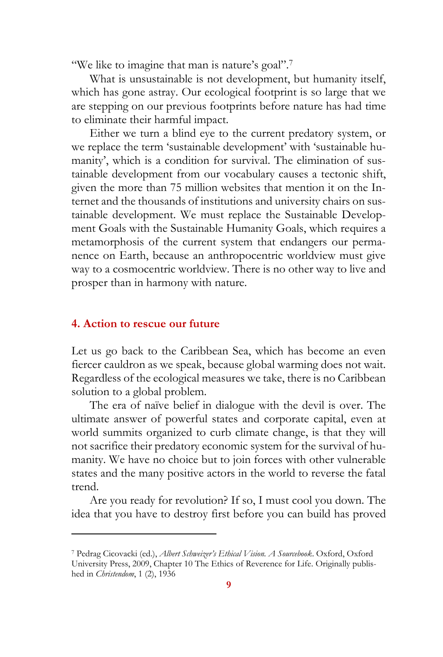"We like to imagine that man is nature's goal".<sup>7</sup>

What is unsustainable is not development, but humanity itself, which has gone astray. Our ecological footprint is so large that we are stepping on our previous footprints before nature has had time to eliminate their harmful impact.

Either we turn a blind eye to the current predatory system, or we replace the term 'sustainable development' with 'sustainable humanity', which is a condition for survival. The elimination of sustainable development from our vocabulary causes a tectonic shift, given the more than 75 million websites that mention it on the Internet and the thousands of institutions and university chairs on sustainable development. We must replace the Sustainable Development Goals with the Sustainable Humanity Goals, which requires a metamorphosis of the current system that endangers our permanence on Earth, because an anthropocentric worldview must give way to a cosmocentric worldview. There is no other way to live and prosper than in harmony with nature.

#### **4. Action to rescue our future**

Let us go back to the Caribbean Sea, which has become an even fiercer cauldron as we speak, because global warming does not wait. Regardless of the ecological measures we take, there is no Caribbean solution to a global problem.

The era of naïve belief in dialogue with the devil is over. The ultimate answer of powerful states and corporate capital, even at world summits organized to curb climate change, is that they will not sacrifice their predatory economic system for the survival of humanity. We have no choice but to join forces with other vulnerable states and the many positive actors in the world to reverse the fatal trend.

Are you ready for revolution? If so, I must cool you down. The idea that you have to destroy first before you can build has proved

<sup>7</sup> Pedrag Cicovacki (ed.), *Albert Schweizer's Ethical Vision. A Sourcebook*. Oxford, Oxford University Press, 2009, Chapter 10 The Ethics of Reverence for Life. Originally published in *Christendom*, 1 (2), 1936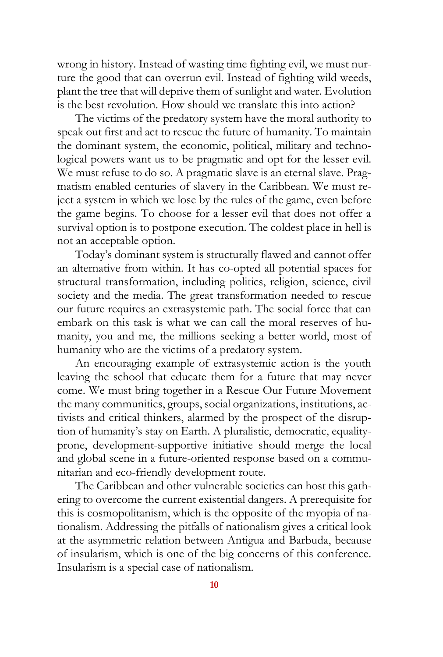wrong in history. Instead of wasting time fighting evil, we must nurture the good that can overrun evil. Instead of fighting wild weeds, plant the tree that will deprive them of sunlight and water. Evolution is the best revolution. How should we translate this into action?

The victims of the predatory system have the moral authority to speak out first and act to rescue the future of humanity. To maintain the dominant system, the economic, political, military and technological powers want us to be pragmatic and opt for the lesser evil. We must refuse to do so. A pragmatic slave is an eternal slave. Pragmatism enabled centuries of slavery in the Caribbean. We must reject a system in which we lose by the rules of the game, even before the game begins. To choose for a lesser evil that does not offer a survival option is to postpone execution. The coldest place in hell is not an acceptable option.

Today's dominant system is structurally flawed and cannot offer an alternative from within. It has co-opted all potential spaces for structural transformation, including politics, religion, science, civil society and the media. The great transformation needed to rescue our future requires an extrasystemic path. The social force that can embark on this task is what we can call the moral reserves of humanity, you and me, the millions seeking a better world, most of humanity who are the victims of a predatory system.

An encouraging example of extrasystemic action is the youth leaving the school that educate them for a future that may never come. We must bring together in a Rescue Our Future Movement the many communities, groups, social organizations, institutions, activists and critical thinkers, alarmed by the prospect of the disruption of humanity's stay on Earth. A pluralistic, democratic, equalityprone, development-supportive initiative should merge the local and global scene in a future-oriented response based on a communitarian and eco-friendly development route.

The Caribbean and other vulnerable societies can host this gathering to overcome the current existential dangers. A prerequisite for this is cosmopolitanism, which is the opposite of the myopia of nationalism. Addressing the pitfalls of nationalism gives a critical look at the asymmetric relation between Antigua and Barbuda, because of insularism, which is one of the big concerns of this conference. Insularism is a special case of nationalism.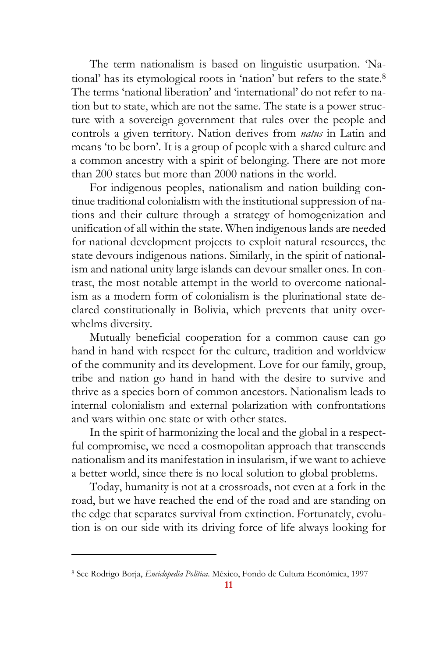The term nationalism is based on linguistic usurpation. 'National' has its etymological roots in 'nation' but refers to the state.<sup>8</sup> The terms 'national liberation' and 'international' do not refer to nation but to state, which are not the same. The state is a power structure with a sovereign government that rules over the people and controls a given territory. Nation derives from *natus* in Latin and means 'to be born'. It is a group of people with a shared culture and a common ancestry with a spirit of belonging. There are not more than 200 states but more than 2000 nations in the world.

For indigenous peoples, nationalism and nation building continue traditional colonialism with the institutional suppression of nations and their culture through a strategy of homogenization and unification of all within the state. When indigenous lands are needed for national development projects to exploit natural resources, the state devours indigenous nations. Similarly, in the spirit of nationalism and national unity large islands can devour smaller ones. In contrast, the most notable attempt in the world to overcome nationalism as a modern form of colonialism is the plurinational state declared constitutionally in Bolivia, which prevents that unity overwhelms diversity.

Mutually beneficial cooperation for a common cause can go hand in hand with respect for the culture, tradition and worldview of the community and its development. Love for our family, group, tribe and nation go hand in hand with the desire to survive and thrive as a species born of common ancestors. Nationalism leads to internal colonialism and external polarization with confrontations and wars within one state or with other states.

In the spirit of harmonizing the local and the global in a respectful compromise, we need a cosmopolitan approach that transcends nationalism and its manifestation in insularism, if we want to achieve a better world, since there is no local solution to global problems.

Today, humanity is not at a crossroads, not even at a fork in the road, but we have reached the end of the road and are standing on the edge that separates survival from extinction. Fortunately, evolution is on our side with its driving force of life always looking for

<sup>8</sup> See Rodrigo Borja, *Enciclopedia Política*. México, Fondo de Cultura Económica, 1997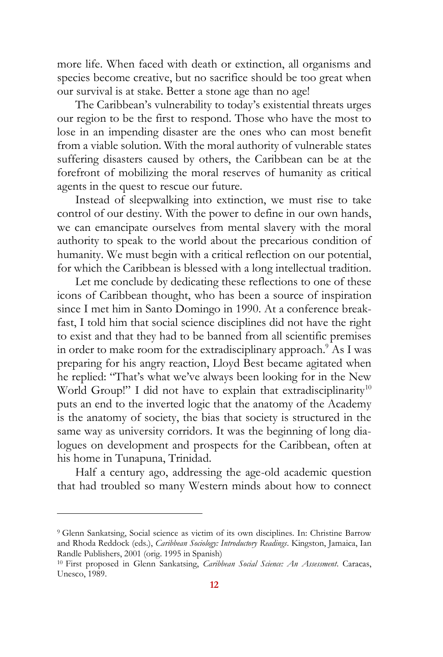more life. When faced with death or extinction, all organisms and species become creative, but no sacrifice should be too great when our survival is at stake. Better a stone age than no age!

The Caribbean's vulnerability to today's existential threats urges our region to be the first to respond. Those who have the most to lose in an impending disaster are the ones who can most benefit from a viable solution. With the moral authority of vulnerable states suffering disasters caused by others, the Caribbean can be at the forefront of mobilizing the moral reserves of humanity as critical agents in the quest to rescue our future.

Instead of sleepwalking into extinction, we must rise to take control of our destiny. With the power to define in our own hands, we can emancipate ourselves from mental slavery with the moral authority to speak to the world about the precarious condition of humanity. We must begin with a critical reflection on our potential, for which the Caribbean is blessed with a long intellectual tradition.

Let me conclude by dedicating these reflections to one of these icons of Caribbean thought, who has been a source of inspiration since I met him in Santo Domingo in 1990. At a conference breakfast, I told him that social science disciplines did not have the right to exist and that they had to be banned from all scientific premises in order to make room for the extradisciplinary approach.<sup>9</sup> As I was preparing for his angry reaction, Lloyd Best became agitated when he replied: "That's what we've always been looking for in the New World Group!" I did not have to explain that extradisciplinarity<sup>10</sup> puts an end to the inverted logic that the anatomy of the Academy is the anatomy of society, the bias that society is structured in the same way as university corridors. It was the beginning of long dialogues on development and prospects for the Caribbean, often at his home in Tunapuna, Trinidad.

Half a century ago, addressing the age-old academic question that had troubled so many Western minds about how to connect

<sup>9</sup> Glenn Sankatsing, Social science as victim of its own disciplines. In: Christine Barrow and Rhoda Reddock (eds.), *Caribbean Sociology: Introductory Readings*. Kingston, Jamaica, Ian Randle Publishers, 2001 (orig. 1995 in Spanish)

<sup>10</sup> First proposed in Glenn Sankatsing, *Caribbean Social Science: An Assessment*. Caracas, Unesco, 1989.